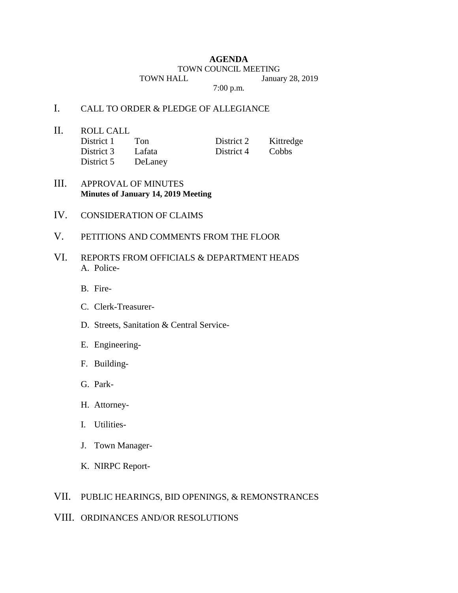#### **AGENDA**

### TOWN COUNCIL MEETING

TOWN HALL January 28, 2019

7:00 p.m.

## I. CALL TO ORDER & PLEDGE OF ALLEGIANCE

II. ROLL CALL

| District 1 | Ton     | District 2 | Kittredge |
|------------|---------|------------|-----------|
| District 3 | Lafata  | District 4 | Cobbs     |
| District 5 | DeLaney |            |           |

### III. APPROVAL OF MINUTES **Minutes of January 14, 2019 Meeting**

- IV. CONSIDERATION OF CLAIMS
- V. PETITIONS AND COMMENTS FROM THE FLOOR
- VI. REPORTS FROM OFFICIALS & DEPARTMENT HEADS A. Police-
	- B. Fire-
	- C. Clerk-Treasurer-
	- D. Streets, Sanitation & Central Service-
	- E. Engineering-
	- F. Building-
	- G. Park-
	- H. Attorney-
	- I. Utilities-
	- J. Town Manager-
	- K. NIRPC Report-

# VII. PUBLIC HEARINGS, BID OPENINGS, & REMONSTRANCES

VIII. ORDINANCES AND/OR RESOLUTIONS